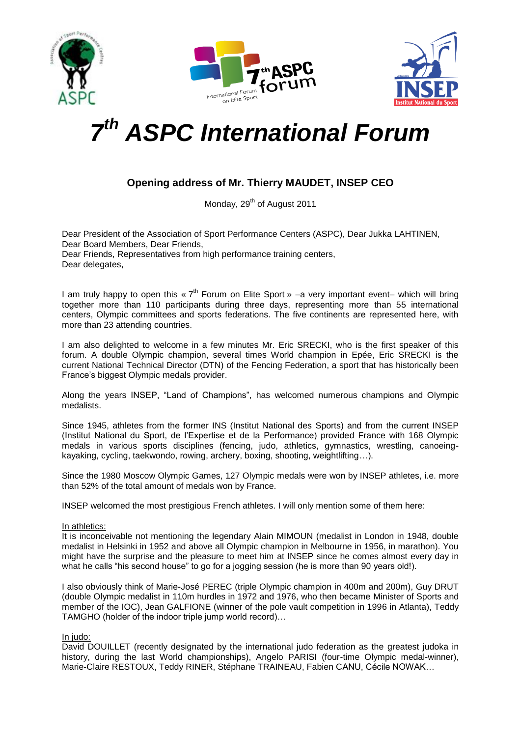





# *7 th ASPC International Forum*

# **Opening address of Mr. Thierry MAUDET, INSEP CEO**

Monday, 29<sup>th</sup> of August 2011

Dear President of the Association of Sport Performance Centers (ASPC), Dear Jukka LAHTINEN, Dear Board Members, Dear Friends, Dear Friends, Representatives from high performance training centers, Dear delegates.

I am truly happy to open this «  $7<sup>th</sup>$  Forum on Elite Sport » -a very important event- which will bring together more than 110 participants during three days, representing more than 55 international centers, Olympic committees and sports federations. The five continents are represented here, with more than 23 attending countries.

I am also delighted to welcome in a few minutes Mr. Eric SRECKI, who is the first speaker of this forum. A double Olympic champion, several times World champion in Epée, Eric SRECKI is the current National Technical Director (DTN) of the Fencing Federation, a sport that has historically been France's biggest Olympic medals provider.

Along the years INSEP, "Land of Champions", has welcomed numerous champions and Olympic medalists.

Since 1945, athletes from the former INS (Institut National des Sports) and from the current INSEP (Institut National du Sport, de l'Expertise et de la Performance) provided France with 168 Olympic medals in various sports disciplines (fencing, judo, athletics, gymnastics, wrestling, canoeingkayaking, cycling, taekwondo, rowing, archery, boxing, shooting, weightlifting…).

Since the 1980 Moscow Olympic Games, 127 Olympic medals were won by INSEP athletes, i.e. more than 52% of the total amount of medals won by France.

INSEP welcomed the most prestigious French athletes. I will only mention some of them here:

### In athletics:

It is inconceivable not mentioning the legendary Alain MIMOUN (medalist in London in 1948, double medalist in Helsinki in 1952 and above all Olympic champion in Melbourne in 1956, in marathon). You might have the surprise and the pleasure to meet him at INSEP since he comes almost every day in what he calls "his second house" to go for a jogging session (he is more than 90 years old!).

I also obviously think of Marie-José PEREC (triple Olympic champion in 400m and 200m), Guy DRUT (double Olympic medalist in 110m hurdles in 1972 and 1976, who then became Minister of Sports and member of the IOC), Jean GALFIONE (winner of the pole vault competition in 1996 in Atlanta), Teddy TAMGHO (holder of the indoor triple jump world record)…

## In judo:

David DOUILLET (recently designated by the international judo federation as the greatest judoka in history, during the last World championships), Angelo PARISI (four-time Olympic medal-winner), Marie-Claire RESTOUX, Teddy RINER, Stéphane TRAINEAU, Fabien CANU, Cécile NOWAK…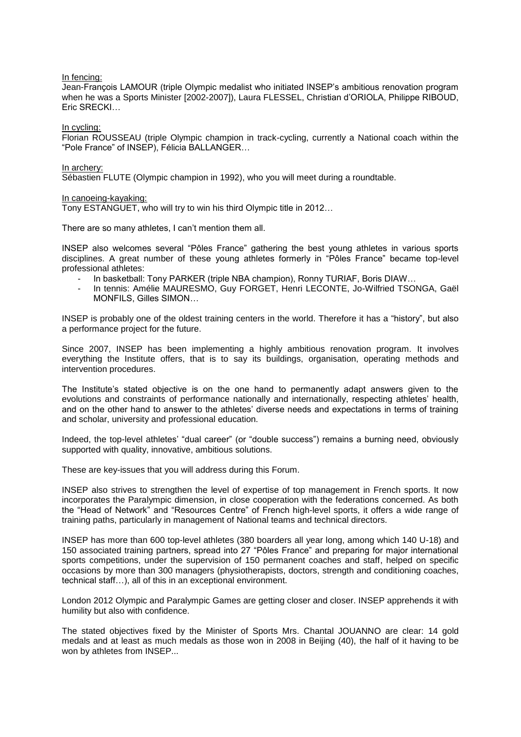#### In fencing:

Jean-François LAMOUR (triple Olympic medalist who initiated INSEP's ambitious renovation program when he was a Sports Minister [2002-2007]), Laura FLESSEL, Christian d'ORIOLA, Philippe RIBOUD, Eric SRECKI…

In cycling:

Florian ROUSSEAU (triple Olympic champion in track-cycling, currently a National coach within the "Pole France" of INSEP), Félicia BALLANGER…

#### In archery:

Sébastien FLUTE (Olympic champion in 1992), who you will meet during a roundtable.

In canoeing-kayaking:

Tony ESTANGUET, who will try to win his third Olympic title in 2012…

There are so many athletes, I can't mention them all.

INSEP also welcomes several "Pôles France" gathering the best young athletes in various sports disciplines. A great number of these young athletes formerly in "Pôles France" became top-level professional athletes:

- In basketball: Tony PARKER (triple NBA champion), Ronny TURIAF, Boris DIAW…
- In tennis: Amélie MAURESMO, Guy FORGET, Henri LECONTE, Jo-Wilfried TSONGA, Gaël MONFILS, Gilles SIMON…

INSEP is probably one of the oldest training centers in the world. Therefore it has a "history", but also a performance project for the future.

Since 2007, INSEP has been implementing a highly ambitious renovation program. It involves everything the Institute offers, that is to say its buildings, organisation, operating methods and intervention procedures.

The Institute's stated objective is on the one hand to permanently adapt answers given to the evolutions and constraints of performance nationally and internationally, respecting athletes' health, and on the other hand to answer to the athletes' diverse needs and expectations in terms of training and scholar, university and professional education.

Indeed, the top-level athletes' "dual career" (or "double success") remains a burning need, obviously supported with quality, innovative, ambitious solutions.

These are key-issues that you will address during this Forum.

INSEP also strives to strengthen the level of expertise of top management in French sports. It now incorporates the Paralympic dimension, in close cooperation with the federations concerned. As both the "Head of Network" and "Resources Centre" of French high-level sports, it offers a wide range of training paths, particularly in management of National teams and technical directors.

INSEP has more than 600 top-level athletes (380 boarders all year long, among which 140 U-18) and 150 associated training partners, spread into 27 "Pôles France" and preparing for major international sports competitions, under the supervision of 150 permanent coaches and staff, helped on specific occasions by more than 300 managers (physiotherapists, doctors, strength and conditioning coaches, technical staff…), all of this in an exceptional environment.

London 2012 Olympic and Paralympic Games are getting closer and closer. INSEP apprehends it with humility but also with confidence.

The stated objectives fixed by the Minister of Sports Mrs. Chantal JOUANNO are clear: 14 gold medals and at least as much medals as those won in 2008 in Beijing (40), the half of it having to be won by athletes from INSEP...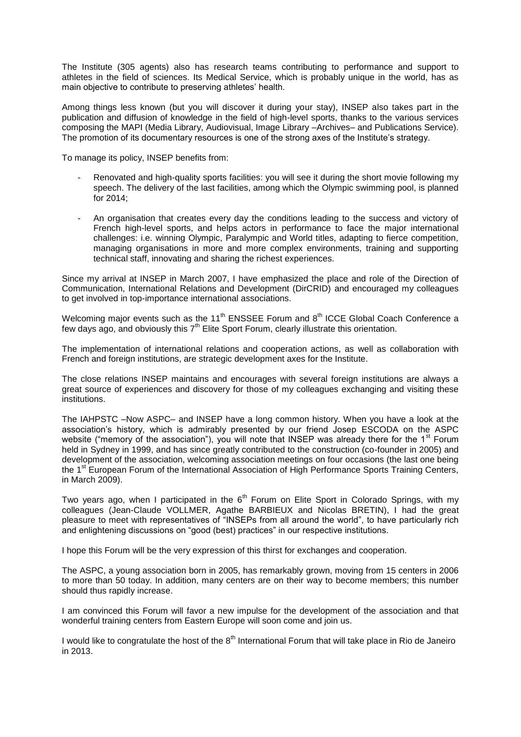The Institute (305 agents) also has research teams contributing to performance and support to athletes in the field of sciences. Its Medical Service, which is probably unique in the world, has as main objective to contribute to preserving athletes' health.

Among things less known (but you will discover it during your stay), INSEP also takes part in the publication and diffusion of knowledge in the field of high-level sports, thanks to the various services composing the MAPI (Media Library, Audiovisual, Image Library –Archives– and Publications Service). The promotion of its documentary resources is one of the strong axes of the Institute's strategy.

To manage its policy, INSEP benefits from:

- Renovated and high-quality sports facilities: you will see it during the short movie following my speech. The delivery of the last facilities, among which the Olympic swimming pool, is planned for 2014;
- An organisation that creates every day the conditions leading to the success and victory of French high-level sports, and helps actors in performance to face the major international challenges: i.e. winning Olympic, Paralympic and World titles, adapting to fierce competition, managing organisations in more and more complex environments, training and supporting technical staff, innovating and sharing the richest experiences.

Since my arrival at INSEP in March 2007, I have emphasized the place and role of the Direction of Communication, International Relations and Development (DirCRID) and encouraged my colleagues to get involved in top-importance international associations.

Welcoming major events such as the 11<sup>th</sup> ENSSEE Forum and  $8<sup>th</sup>$  ICCE Global Coach Conference a few days ago, and obviously this  $7<sup>th</sup>$  Elite Sport Forum, clearly illustrate this orientation.

The implementation of international relations and cooperation actions, as well as collaboration with French and foreign institutions, are strategic development axes for the Institute.

The close relations INSEP maintains and encourages with several foreign institutions are always a great source of experiences and discovery for those of my colleagues exchanging and visiting these institutions.

The IAHPSTC –Now ASPC– and INSEP have a long common history. When you have a look at the association's history, which is admirably presented by our friend Josep ESCODA on the ASPC website ("memory of the association"), you will note that INSEP was already there for the 1<sup>st</sup> Forum held in Sydney in 1999, and has since greatly contributed to the construction (co-founder in 2005) and development of the association, welcoming association meetings on four occasions (the last one being the 1<sup>st</sup> European Forum of the International Association of High Performance Sports Training Centers, in March 2009).

Two years ago, when I participated in the  $6<sup>th</sup>$  Forum on Elite Sport in Colorado Springs, with my colleagues (Jean-Claude VOLLMER, Agathe BARBIEUX and Nicolas BRETIN), I had the great pleasure to meet with representatives of "INSEPs from all around the world", to have particularly rich and enlightening discussions on "good (best) practices" in our respective institutions.

I hope this Forum will be the very expression of this thirst for exchanges and cooperation.

The ASPC, a young association born in 2005, has remarkably grown, moving from 15 centers in 2006 to more than 50 today. In addition, many centers are on their way to become members; this number should thus rapidly increase.

I am convinced this Forum will favor a new impulse for the development of the association and that wonderful training centers from Eastern Europe will soon come and join us.

I would like to congratulate the host of the 8<sup>th</sup> International Forum that will take place in Rio de Janeiro in 2013.